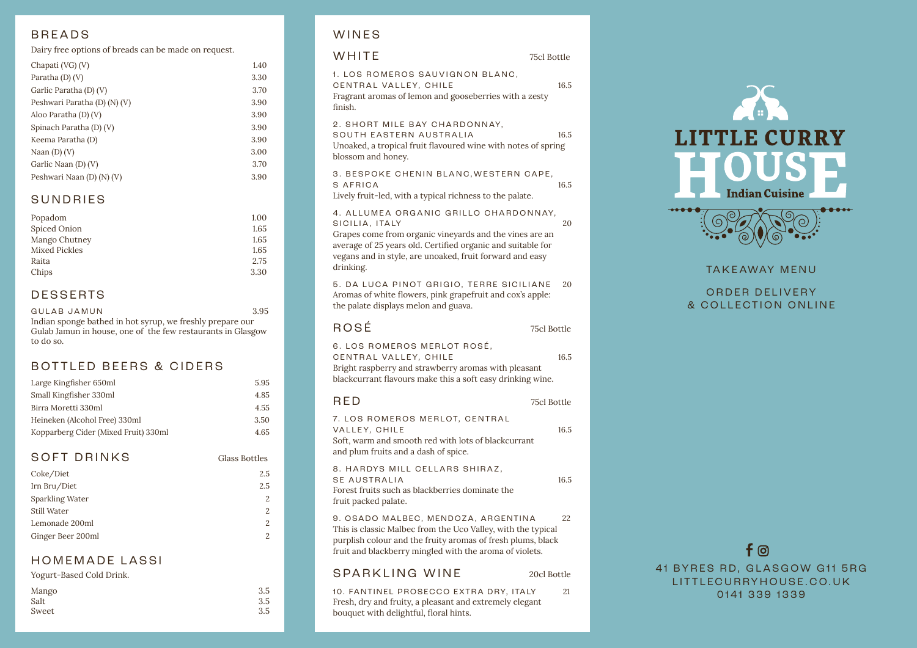#### BREADS

Dairy free options of breads can be made on request.

| Chapati (VG) (V)             | 1.40 |
|------------------------------|------|
| Paratha (D) (V)              | 3.30 |
| Garlic Paratha (D) (V)       | 3.70 |
| Peshwari Paratha (D) (N) (V) | 3.90 |
| Aloo Paratha (D) (V)         | 3.90 |
| Spinach Paratha (D) (V)      | 3.90 |
| Keema Paratha (D)            | 3.90 |
| Naan $(D)$ $(V)$             | 3.00 |
| Garlic Naan (D) (V)          | 3.70 |
| Peshwari Naan (D) (N) (V)    | 3.90 |
|                              |      |

#### SUNDRIES

| Popadom              | 1.00 |
|----------------------|------|
| Spiced Onion         | 1.65 |
| Mango Chutney        | 1.65 |
| <b>Mixed Pickles</b> | 1.65 |
| Raita                | 2.75 |
| Chips                | 3.30 |
|                      |      |

### DESSERTS

GULAB JAMUN 3.95 Indian sponge bathed in hot syrup, we freshly prepare our Gulab Jamun in house, one of the few restaurants in Glasgow to do so.

#### BOTTLED BEERS & CIDERS

| Large Kingfisher 650ml               | 5.95 |
|--------------------------------------|------|
| Small Kingfisher 330ml               | 4.85 |
| Birra Moretti 330ml                  | 4.55 |
| Heineken (Alcohol Free) 330ml        | 3.50 |
| Kopparberg Cider (Mixed Fruit) 330ml | 4.65 |

#### SOFT DRINKS Glass Bottles

| Coke/Diet              | 2.5            |
|------------------------|----------------|
| Irn Bru/Diet           | 2.5            |
| <b>Sparkling Water</b> | $\mathfrak{D}$ |
| <b>Still Water</b>     | 2              |
| Lemonade 200ml         | 2              |
| Ginger Beer 200ml      | 2              |

#### HOMEMADE LASSI

| Yogurt-Based Cold Drink. |  |
|--------------------------|--|
|                          |  |

| Mango | 3.5 |
|-------|-----|
| Salt  | 3.5 |
| Sweet | 3.5 |

### WINES

| 1. LOS ROMEROS SAUVIGNON BLANC,<br>CENTRAL VALLEY, CHILE<br>Fragrant aromas of lemon and gooseberries with a zesty<br>finish.                                                                                                                              | 16.5 |
|------------------------------------------------------------------------------------------------------------------------------------------------------------------------------------------------------------------------------------------------------------|------|
| 2. SHORT MILE BAY CHARDONNAY,<br>SOUTH EASTERN AUSTRALIA<br>Unoaked, a tropical fruit flavoured wine with notes of spring<br>blossom and honey.                                                                                                            | 16.5 |
| 3. BESPOKE CHENIN BLANC, WESTERN CAPE,<br>S AFRICA<br>Lively fruit-led, with a typical richness to the palate.                                                                                                                                             | 16.5 |
| 4. ALLUMEA ORGANIC GRILLO CHARDONNAY,<br>SICILIA, ITALY<br>Grapes come from organic vineyards and the vines are an<br>average of 25 years old. Certified organic and suitable for<br>vegans and in style, are unoaked, fruit forward and easy<br>drinking. | 20   |
| 5. DA LUCA PINOT GRIGIO, TERRE SICILIANE<br>Aromas of white flowers, pink grapefruit and cox's apple:<br>the palate displays melon and guava.                                                                                                              | 20   |
| ROSÉ<br>75cl Bottle                                                                                                                                                                                                                                        |      |
| 6. LOS ROMEROS MERLOT ROSÉ,<br>CENTRAL VALLEY, CHILE<br>Bright raspberry and strawberry aromas with pleasant<br>blackcurrant flavours make this a soft easy drinking wine.                                                                                 | 16.5 |
| RED<br>75cl Bottle                                                                                                                                                                                                                                         |      |
| 7. LOS ROMEROS MERLOT, CENTRAL<br>VALLEY, CHILE<br>Soft, warm and smooth red with lots of blackcurrant<br>and plum fruits and a dash of spice.                                                                                                             | 16.5 |
| 8. HARDYS MILL CELLARS SHIRAZ,<br>SE AUSTRALIA<br>Forest fruits such as blackberries dominate the<br>fruit packed palate.                                                                                                                                  | 16.5 |
| 9. OSADO MALBEC, MENDOZA, ARGENTINA<br>This is classic Malbec from the Uco Valley, with the typical<br>purplish colour and the fruity aromas of fresh plums, black<br>fruit and blackberry mingled with the aroma of violets.                              | 22   |
| <b>SPARKLING WINE</b><br>20cl Bottle                                                                                                                                                                                                                       |      |
| 10. FANTINEL PROSECCO EXTRA DRY, ITALY<br>Fresh, dry and fruity, a pleasant and extremely elegant<br>bouquet with delightful, floral hints.                                                                                                                | 21   |

WHITE 75cl Bottle



#### TAK E AWAY MENU

ORDER DELIVERY & COLLECTION ONLINE

# $f$   $\odot$

41 BYRES RD, GLASGOW G11 5RG LITTLECURRYHOUSE.CO.UK 0141 339 1339